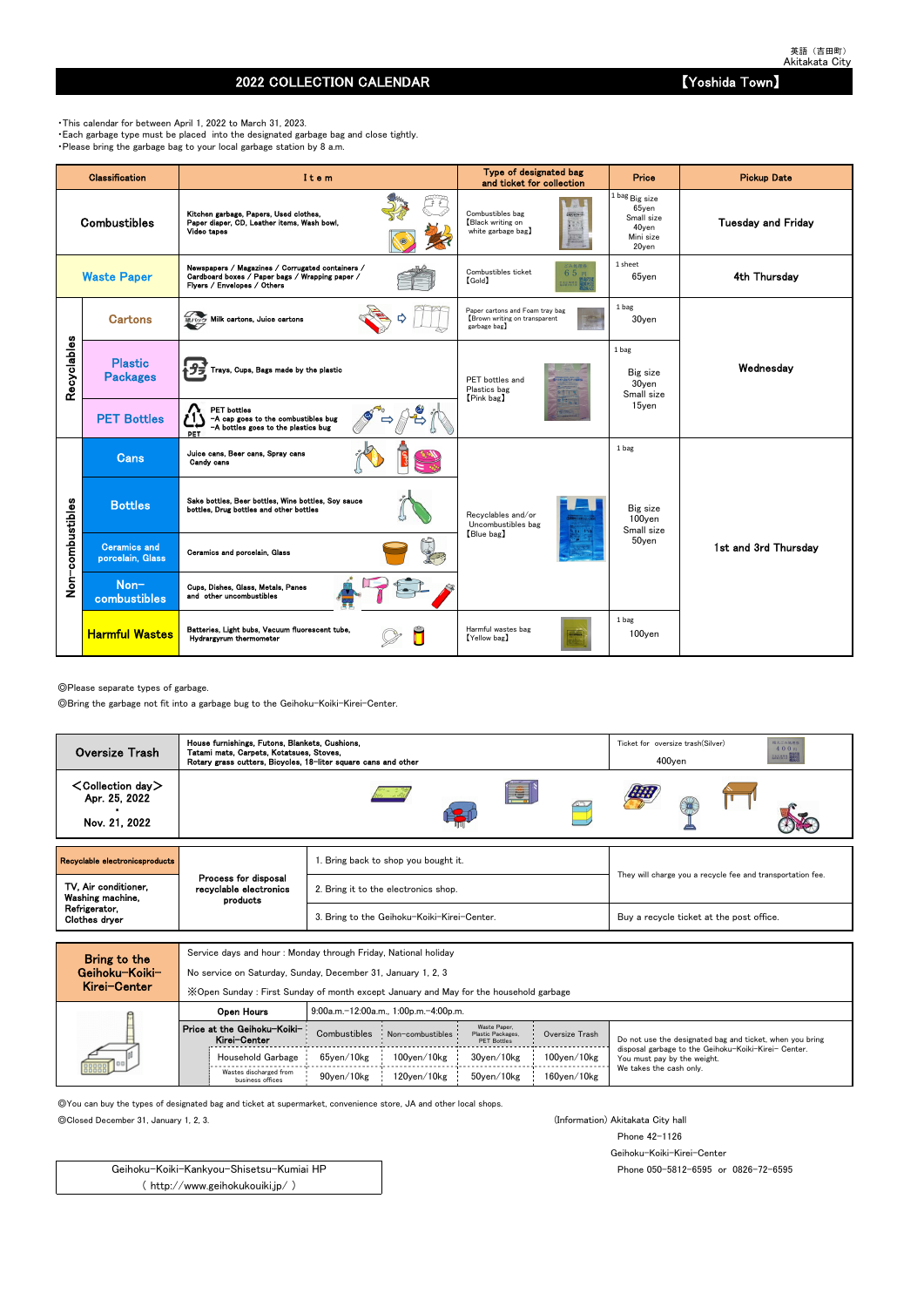◎Please separate types of garbage.

◎Bring the garbage not fit into a garbage bug to the Geihoku-Koiki-Kirei-Center.

Service days and hour : Monday through Friday, National holiday

No service on Saturday, Sunday, December 31, January 1, 2, 3

◎You can buy the types of designated bag and ticket at supermarket, convenience store, JA and other local shops.

◎Closed December 31, January 1, 2, 3. (Information) Akitakata City hall

Phone 42-1126

Geihoku-Koiki-Kirei-Center

Phone 050-5812-6595 or 0826-72-6595

## 2022 COLLECTION CALENDAR 【Yoshida Town】

・This calendar for between April 1, 2022 to March 31, 2023. ・Each garbage type must be placed into the designated garbage bag and close tightly. ・Please bring the garbage bag to your local garbage station by 8 a.m.

|                  | <b>Classification</b>                   | Item                                                                                                                               | Type of designated bag<br>and ticket for collection                             | Price                                                                                   | <b>Pickup Date</b>        |
|------------------|-----------------------------------------|------------------------------------------------------------------------------------------------------------------------------------|---------------------------------------------------------------------------------|-----------------------------------------------------------------------------------------|---------------------------|
|                  | <b>Combustibles</b>                     | Kitchen garbage, Papers, Used clothes,<br>Paper diaper, CD, Leather items, Wash bowl,<br>Video tapes                               | Combustibles bag<br>2個えるごみ(の)<br>Black writing on<br>white garbage bag)         | $^{1 \, \rm{bag}}$ Big size<br>$65$ yen<br>Small size<br>40yen<br>Mini size<br>$20$ yen | <b>Tuesday and Friday</b> |
|                  | <b>Waste Paper</b>                      | Newspapers / Magazines / Corrugated containers /<br>Cardboard boxes / Paper bags / Wrapping paper /<br>Flyers / Envelopes / Others | ごみ処理券<br>Combustibles ticket<br>65円<br><b>[Gold]</b><br><b>BUARS</b>            | 1 sheet<br>$65$ yen                                                                     | 4th Thursday              |
|                  | <b>Cartons</b>                          | 紙パック Milk cartons, Juice cartons                                                                                                   | Paper cartons and Foam tray bag<br>Brown writing on transparent<br>garbage bag) | 1 bag<br>30yen                                                                          |                           |
| Recyclables      | <b>Plastic</b><br><b>Packages</b>       | Trays, Cups, Bags made by the plastic                                                                                              | PET bottles and<br>Plastics bag<br>[Pink bag]                                   | 1 bag<br>Big size<br>30yen<br>Small size                                                | Wednesday                 |
|                  | <b>PET Bottles</b>                      | <b>PET</b> bottles<br>-A cap goes to the combustibles bug<br>-A bottles goes to the plastics bug<br>PET                            |                                                                                 | 15yen                                                                                   |                           |
|                  | <b>Cans</b>                             | Juice cans, Beer cans, Spray cans<br>Candy cans                                                                                    |                                                                                 | 1 bag                                                                                   |                           |
|                  | <b>Bottles</b>                          | Sake bottles, Beer bottles, Wine bottles, Soy sauce<br>bottles, Drug bottles and other bottles                                     | Recyclables and/or<br>Uncombustibles bag                                        | Big size<br>100yen<br>Small size                                                        |                           |
| Non-combustibles | <b>Ceramics and</b><br>porcelain, Glass | Ceramics and porcelain, Glass                                                                                                      | [Blue bag]                                                                      | 50yen                                                                                   | 1st and 3rd Thursdav      |
|                  | Non-<br>combustibles                    | Cups, Dishes, Glass, Metals, Panes<br>and other uncombustibles                                                                     |                                                                                 |                                                                                         |                           |
|                  | <b>Harmful Wastes</b>                   | Batteries, Light bubs, Vacuum fluorescent tube,<br>Hydrargyrum thermometer                                                         | Harmful wastes bag<br>[Yellow bag]                                              | 1 bag<br>100yen                                                                         |                           |

| MIGI VEILEI |                                             | X Open Sunday: First Sunday of month except January and May for the household garbage |                                       |                                                         |                    |                                                                                     |
|-------------|---------------------------------------------|---------------------------------------------------------------------------------------|---------------------------------------|---------------------------------------------------------|--------------------|-------------------------------------------------------------------------------------|
|             | Open Hours                                  |                                                                                       | 9:00a.m.-12:00a.m., 1:00p.m.-4:00p.m. |                                                         |                    |                                                                                     |
|             | Price at the Geihoku-Koiki-<br>Kirei-Center | Combustibles                                                                          | Non-combustibles                      | Waste Paper.<br>Plastic Packages,<br><b>PET Bottles</b> | Oversize Trash     | Do not use the designated bag and ticket, when you bring                            |
| 000000      | Household Garbage                           | 65ven/10kg                                                                            | $100$ ven $/10$ kg                    | 30ven/10kg                                              | $100$ yen $/10$ kg | disposal garbage to the Geihoku-Koiki-Kirei- Center.<br>You must pay by the weight. |
|             | Wastes discharged from<br>business offices  | 90ven/10kg                                                                            | 120ven/10kg                           | 50ven/10kg                                              | $160$ ven $/10$ kg | We takes the cash only.                                                             |

Geihoku-Koiki-Kankyou-Shisetsu-Kumiai HP ( http://www.geihokukouiki.jp/ )

| $\leq$ Collection day $>$<br>E<br>Apr. 25, 2022<br>Nov. 21, 2022                                                                               | <b>Oversize Trash</b> | House furnishings, Futons, Blankets, Cushions,<br>Tatami mats, Carpets, Kotatsues, Stoves,<br>Rotary grass cutters, Bicycles, 18-liter square cans and other |  | 粗大ごみ処理券<br>Ticket for oversize trash (Silver)<br>400円<br><b>BACKARA BROK</b><br>$400$ ven |  |  |  |  |  |
|------------------------------------------------------------------------------------------------------------------------------------------------|-----------------------|--------------------------------------------------------------------------------------------------------------------------------------------------------------|--|-------------------------------------------------------------------------------------------|--|--|--|--|--|
|                                                                                                                                                |                       |                                                                                                                                                              |  |                                                                                           |  |  |  |  |  |
| Recyclable electronicsproducts<br>Bring back to shop you bought it.                                                                            |                       |                                                                                                                                                              |  |                                                                                           |  |  |  |  |  |
| Process for disposal<br>TV, Air conditioner,<br>recyclable electronics<br>2. Bring it to the electronics shop.<br>Washing machine,<br>products |                       |                                                                                                                                                              |  | They will charge you a recycle fee and transportation fee.                                |  |  |  |  |  |
| Refrigerator,<br>3. Bring to the Geihoku-Koiki-Kirei-Center.<br>Buy a recycle ticket at the post office.<br>Clothes dryer                      |                       |                                                                                                                                                              |  |                                                                                           |  |  |  |  |  |

| Bring to the   |
|----------------|
| Geihoku−Koiki− |
| Kirei-Center   |